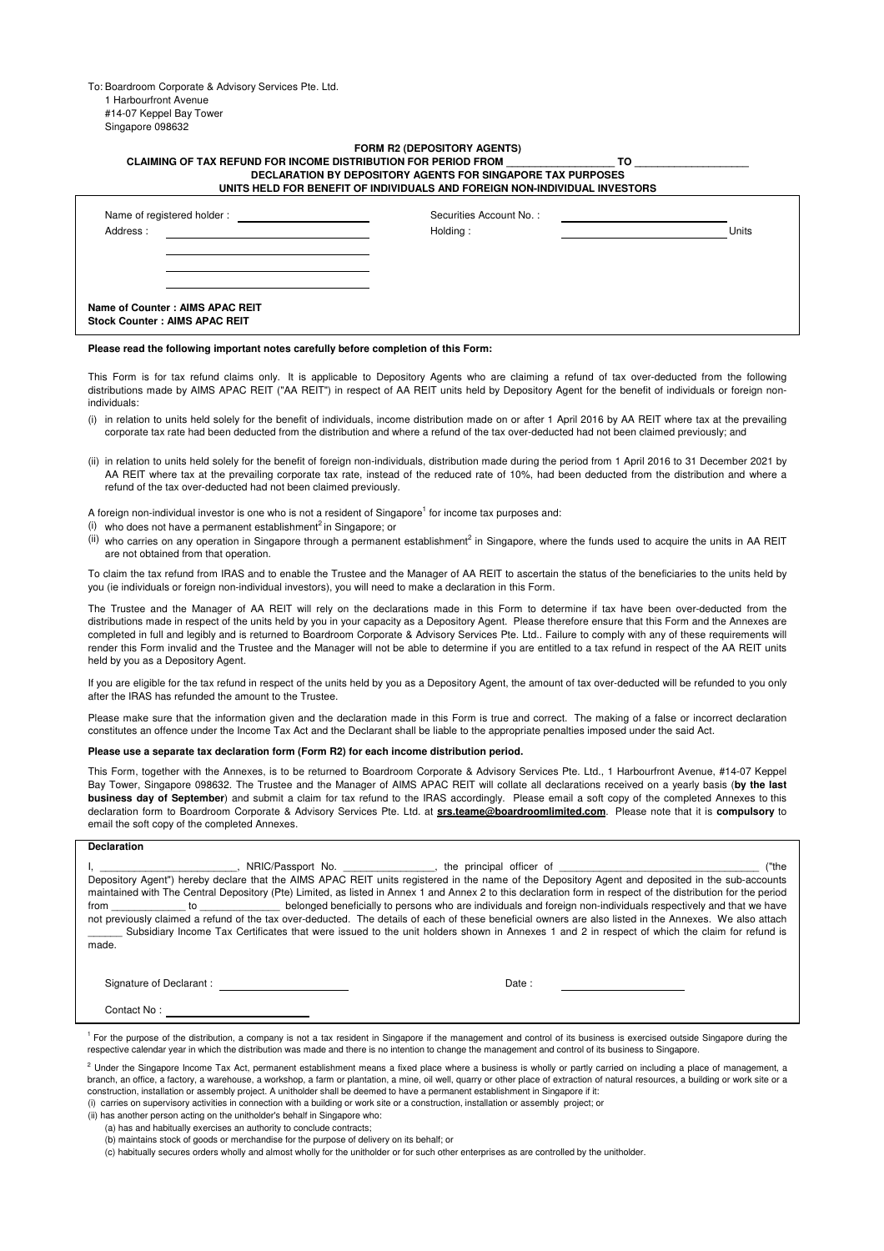To: Boardroom Corporate & Advisory Services Pte. Ltd. 1 Harbourfront Avenue #14-07 Keppel Bay Tower Singapore 098632

## **FORM R2 (DEPOSITORY AGENTS) CLAIMING OF TAX REFUND FOR INCOME DISTRIBUTION FOR PERIOD FROM \_\_\_\_\_\_\_\_\_\_\_\_\_\_\_\_\_\_\_ TO \_\_\_\_\_\_\_\_\_\_\_\_\_\_\_\_\_\_\_\_**

| DECLARATION BY DEPOSITORY AGENTS FOR SINGAPORE TAX PURPOSES<br>UNITS HELD FOR BENEFIT OF INDIVIDUALS AND FOREIGN NON-INDIVIDUAL INVESTORS |                                     |       |  |  |  |  |
|-------------------------------------------------------------------------------------------------------------------------------------------|-------------------------------------|-------|--|--|--|--|
| Name of registered holder:<br>Address:                                                                                                    | Securities Account No.:<br>Holding: | Units |  |  |  |  |
| Name of Counter: AIMS APAC REIT<br><b>Stock Counter: AIMS APAC REIT</b>                                                                   |                                     |       |  |  |  |  |

**Please read the following important notes carefully before completion of this Form:**

This Form is for tax refund claims only. It is applicable to Depository Agents who are claiming a refund of tax over-deducted from the following distributions made by AIMS APAC REIT ("AA REIT") in respect of AA REIT units held by Depository Agent for the benefit of individuals or foreign nonindividuals:

- (i) in relation to units held solely for the benefit of individuals, income distribution made on or after 1 April 2016 by AA REIT where tax at the prevailing corporate tax rate had been deducted from the distribution and where a refund of the tax over-deducted had not been claimed previously; and
- (ii) in relation to units held solely for the benefit of foreign non-individuals, distribution made during the period from 1 April 2016 to 31 December 2021 by AA REIT where tax at the prevailing corporate tax rate, instead of the reduced rate of 10%, had been deducted from the distribution and where a refund of the tax over-deducted had not been claimed previously.
- A foreign non-individual investor is one who is not a resident of Singapore<sup>1</sup> for income tax purposes and:
- $(i)$  who does not have a permanent establishment<sup>2</sup> in Singapore; or
- (ii) who carries on any operation in Singapore through a permanent establishment<sup>2</sup> in Singapore, where the funds used to acquire the units in AA REIT are not obtained from that operation.

To claim the tax refund from IRAS and to enable the Trustee and the Manager of AA REIT to ascertain the status of the beneficiaries to the units held by you (ie individuals or foreign non-individual investors), you will need to make a declaration in this Form.

The Trustee and the Manager of AA REIT will rely on the declarations made in this Form to determine if tax have been over-deducted from the distributions made in respect of the units held by you in your capacity as a Depository Agent. Please therefore ensure that this Form and the Annexes are completed in full and legibly and is returned to Boardroom Corporate & Advisory Services Pte. Ltd.. Failure to comply with any of these requirements will render this Form invalid and the Trustee and the Manager will not be able to determine if you are entitled to a tax refund in respect of the AA REIT units held by you as a Depository Agent.

If you are eligible for the tax refund in respect of the units held by you as a Depository Agent, the amount of tax over-deducted will be refunded to you only after the IRAS has refunded the amount to the Trustee.

Please make sure that the information given and the declaration made in this Form is true and correct. The making of a false or incorrect declaration constitutes an offence under the Income Tax Act and the Declarant shall be liable to the appropriate penalties imposed under the said Act.

## **Please use a separate tax declaration form (Form R2) for each income distribution period.**

This Form, together with the Annexes, is to be returned to Boardroom Corporate & Advisory Services Pte. Ltd., 1 Harbourfront Avenue, #14-07 Keppel Bay Tower, Singapore 098632. The Trustee and the Manager of AIMS APAC REIT will collate all declarations received on a yearly basis (**by the last business day of September**) and submit a claim for tax refund to the IRAS accordingly. Please email a soft copy of the completed Annexes to this declaration form to Boardroom Corporate & Advisory Services Pte. Ltd. at **srs.teame@boardroomlimited.com**. Please note that it is **compulsory** to email the soft copy of the completed Annexes.

## **Declaration**

|       |                                                                                                                                                                                                                                | NRIC/Passport No. The principal officer of |  |                                                                                                                | ("the |
|-------|--------------------------------------------------------------------------------------------------------------------------------------------------------------------------------------------------------------------------------|--------------------------------------------|--|----------------------------------------------------------------------------------------------------------------|-------|
|       | Depository Agent") hereby declare that the AIMS APAC REIT units registered in the name of the Depository Agent and deposited in the sub-accounts                                                                               |                                            |  |                                                                                                                |       |
|       | maintained with The Central Depository (Pte) Limited, as listed in Annex 1 and Annex 2 to this declaration form in respect of the distribution for the period                                                                  |                                            |  |                                                                                                                |       |
| from  | to to the state of the state of the state of the state of the state of the state of the state of the state of the state of the state of the state of the state of the state of the state of the state of the state of the stat |                                            |  | belonged beneficially to persons who are individuals and foreign non-individuals respectively and that we have |       |
|       | not previously claimed a refund of the tax over-deducted. The details of each of these beneficial owners are also listed in the Annexes. We also attach                                                                        |                                            |  |                                                                                                                |       |
|       | Subsidiary Income Tax Certificates that were issued to the unit holders shown in Annexes 1 and 2 in respect of which the claim for refund is                                                                                   |                                            |  |                                                                                                                |       |
| made. |                                                                                                                                                                                                                                |                                            |  |                                                                                                                |       |

Signature of Declarant :  $\Box$ 

Contact No :

<sup>1</sup> For the purpose of the distribution, a company is not a tax resident in Singapore if the management and control of its business is exercised outside Singapore during the respective calendar year in which the distribution was made and there is no intention to change the management and control of its business to Singapore.

(i) carries on supervisory activities in connection with a building or work site or a construction, installation or assembly project; or Under the Singapore Income Tax Act, permanent establishment means a fixed place where a business is wholly or partly carried on including a place of management, a branch, an office, a factory, a warehouse, a workshop, a farm or plantation, a mine, oil well, quarry or other place of extraction of natural resources, a building or work site or a construction, installation or assembly project. A unitholder shall be deemed to have a permanent establishment in Singapore if it:

(ii) has another person acting on the unitholder's behalf in Singapore who:

(a) has and habitually exercises an authority to conclude contracts;

(b) maintains stock of goods or merchandise for the purpose of delivery on its behalf; or

 $\alpha$ ) habitually secures orders wholly and almost wholly for the unitholder or for such other enterprises as are controlled by the unitholder.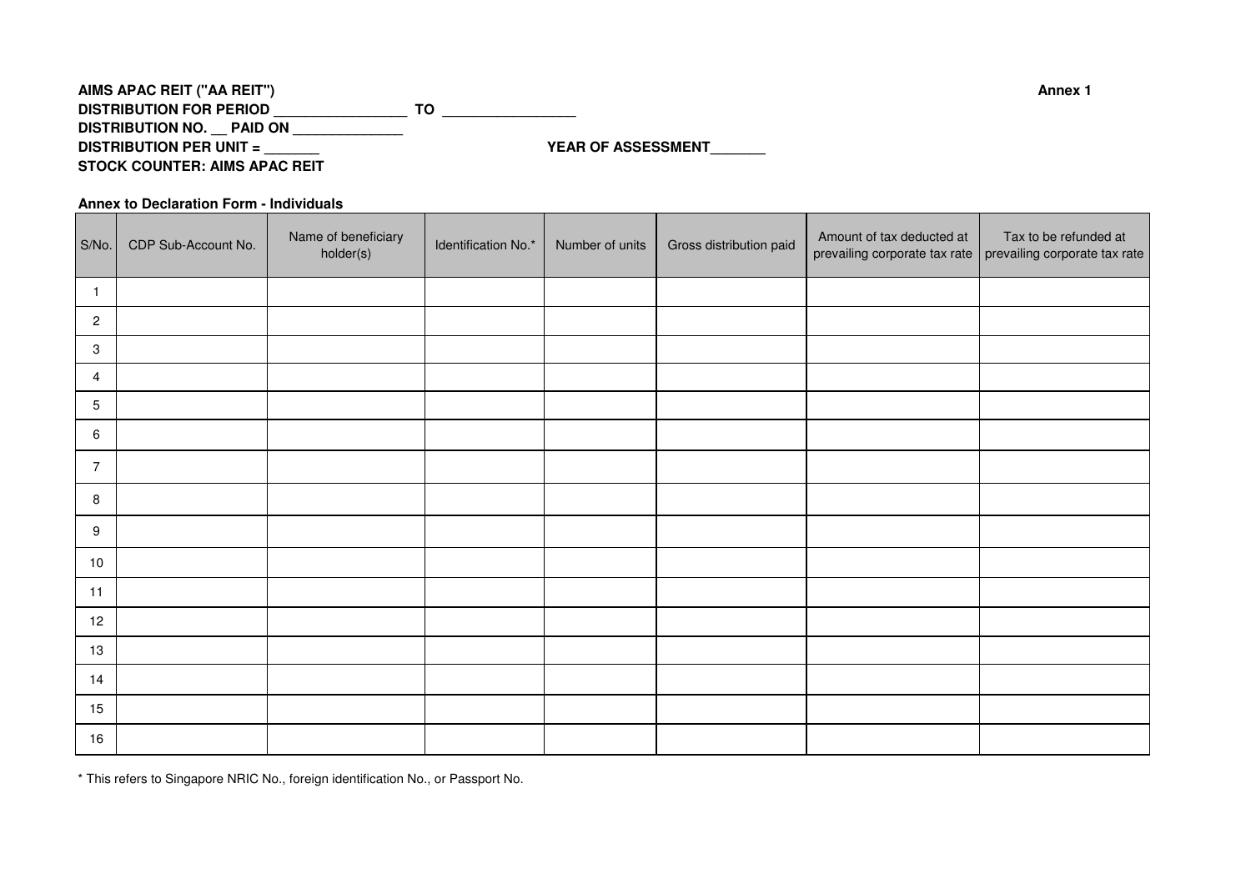| AIMS APAC REIT ("AA REIT")           | Annex 1                   |
|--------------------------------------|---------------------------|
| <b>DISTRIBUTION FOR PERIOD</b>       |                           |
| DISTRIBUTION NO. PAID ON             |                           |
| <b>DISTRIBUTION PER UNIT =</b>       | <b>YEAR OF ASSESSMENT</b> |
| <b>STOCK COUNTER: AIMS APAC REIT</b> |                           |

**Annex to Declaration Form - Individuals**

| S/No.                     | CDP Sub-Account No. | Name of beneficiary<br>holder(s) | Identification No.* | Number of units | Gross distribution paid | Amount of tax deducted at | Tax to be refunded at<br>prevailing corporate tax rate   prevailing corporate tax rate |
|---------------------------|---------------------|----------------------------------|---------------------|-----------------|-------------------------|---------------------------|----------------------------------------------------------------------------------------|
| $\overline{1}$            |                     |                                  |                     |                 |                         |                           |                                                                                        |
| $\overline{c}$            |                     |                                  |                     |                 |                         |                           |                                                                                        |
| $\ensuremath{\mathsf{3}}$ |                     |                                  |                     |                 |                         |                           |                                                                                        |
| 4                         |                     |                                  |                     |                 |                         |                           |                                                                                        |
| $\mathbf 5$               |                     |                                  |                     |                 |                         |                           |                                                                                        |
| 6                         |                     |                                  |                     |                 |                         |                           |                                                                                        |
| $\overline{7}$            |                     |                                  |                     |                 |                         |                           |                                                                                        |
| 8                         |                     |                                  |                     |                 |                         |                           |                                                                                        |
| 9                         |                     |                                  |                     |                 |                         |                           |                                                                                        |
| 10                        |                     |                                  |                     |                 |                         |                           |                                                                                        |
| 11                        |                     |                                  |                     |                 |                         |                           |                                                                                        |
| 12                        |                     |                                  |                     |                 |                         |                           |                                                                                        |
| 13                        |                     |                                  |                     |                 |                         |                           |                                                                                        |
| 14                        |                     |                                  |                     |                 |                         |                           |                                                                                        |
| 15                        |                     |                                  |                     |                 |                         |                           |                                                                                        |
| 16                        |                     |                                  |                     |                 |                         |                           |                                                                                        |

\* This refers to Singapore NRIC No., foreign identification No., or Passport No.